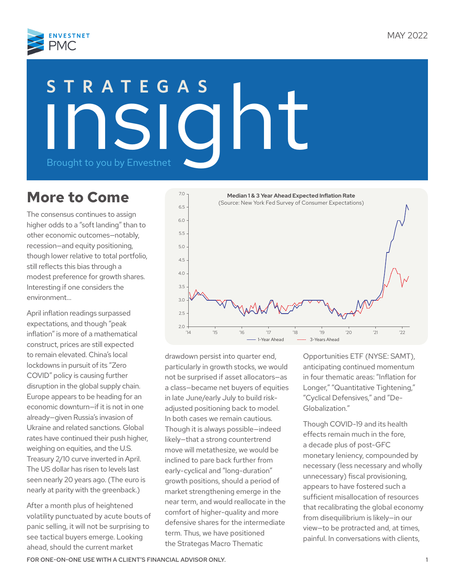

# STRATEGAS<br>
Insight to you by Envestnet **STRATEGAS**

# **More to Come**

The consensus continues to assign higher odds to a "soft landing" than to other economic outcomes—notably, recession—and equity positioning, though lower relative to total portfolio, still reflects this bias through a modest preference for growth shares. Interesting if one considers the environment…

April inflation readings surpassed expectations, and though "peak inflation" is more of a mathematical construct, prices are still expected to remain elevated. China's local lockdowns in pursuit of its "Zero COVID" policy is causing further disruption in the global supply chain. Europe appears to be heading for an economic downturn—if it is not in one already—given Russia's invasion of Ukraine and related sanctions. Global rates have continued their push higher, weighing on equities, and the U.S. Treasury 2/10 curve inverted in April. The US dollar has risen to levels last seen nearly 20 years ago. (The euro is nearly at parity with the greenback.)

After a month plus of heightened volatility punctuated by acute bouts of panic selling, it will not be surprising to see tactical buyers emerge. Looking ahead, should the current market



drawdown persist into quarter end, particularly in growth stocks, we would not be surprised if asset allocators—as a class—became net buyers of equities in late June/early July to build riskadjusted positioning back to model. In both cases we remain cautious. Though it is always possible—indeed likely—that a strong countertrend move will metathesize, we would be inclined to pare back further from early-cyclical and "long-duration" growth positions, should a period of market strengthening emerge in the near term, and would reallocate in the comfort of higher-quality and more defensive shares for the intermediate term. Thus, we have positioned the Strategas Macro Thematic

Opportunities ETF (NYSE: SAMT), anticipating continued momentum in four thematic areas: "Inflation for Longer," "Quantitative Tightening," "Cyclical Defensives," and "De-Globalization."

Though COVID-19 and its health effects remain much in the fore, a decade plus of post-GFC monetary leniency, compounded by necessary (less necessary and wholly unnecessary) fiscal provisioning, appears to have fostered such a sufficient misallocation of resources that recalibrating the global economy from disequilibrium is likely—in our view—to be protracted and, at times, painful. In conversations with clients,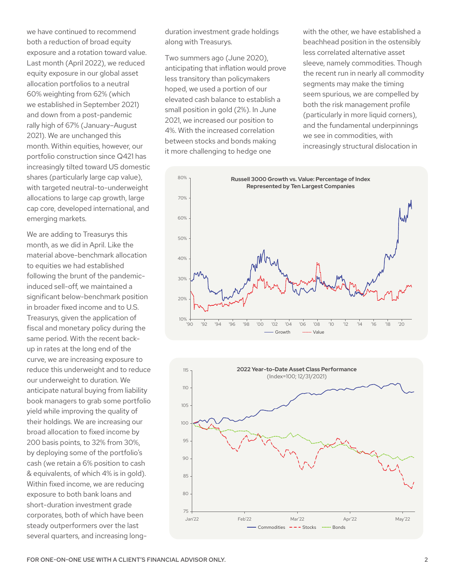we have continued to recommend both a reduction of broad equity exposure and a rotation toward value. Last month (April 2022), we reduced equity exposure in our global asset allocation portfolios to a neutral 60% weighting from 62% (which we established in September 2021) and down from a post-pandemic rally high of 67% (January–August 2021). We are unchanged this month. Within equities, however, our portfolio construction since Q421 has increasingly tilted toward US domestic shares (particularly large cap value), with targeted neutral-to-underweight allocations to large cap growth, large cap core, developed international, and emerging markets.

We are adding to Treasurys this month, as we did in April. Like the material above-benchmark allocation to equities we had established following the brunt of the pandemicinduced sell-off, we maintained a significant below-benchmark position in broader fixed income and to U.S. Treasurys, given the application of fiscal and monetary policy during the same period. With the recent backup in rates at the long end of the curve, we are increasing exposure to reduce this underweight and to reduce our underweight to duration. We anticipate natural buying from liability book managers to grab some portfolio yield while improving the quality of their holdings. We are increasing our broad allocation to fixed income by 200 basis points, to 32% from 30%, by deploying some of the portfolio's cash (we retain a 6% position to cash & equivalents, of which 4% is in gold). Within fixed income, we are reducing exposure to both bank loans and short-duration investment grade corporates, both of which have been steady outperformers over the last several quarters, and increasing longduration investment grade holdings along with Treasurys.

Two summers ago (June 2020), anticipating that inflation would prove less transitory than policymakers hoped, we used a portion of our elevated cash balance to establish a small position in gold (2%). In June 2021, we increased our position to 4%. With the increased correlation between stocks and bonds making it more challenging to hedge one

with the other, we have established a beachhead position in the ostensibly less correlated alternative asset sleeve, namely commodities. Though the recent run in nearly all commodity segments may make the timing seem spurious, we are compelled by both the risk management profile (particularly in more liquid corners), and the fundamental underpinnings we see in commodities, with increasingly structural dislocation in



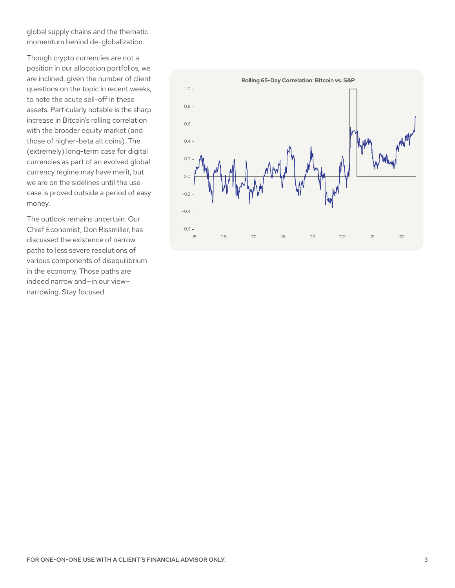global supply chains and the thematic momentum behind de-globalization.

Though crypto currencies are not a position in our allocation portfolios, we are inclined, given the number of client questions on the topic in recent weeks, to note the acute sell-off in these assets. Particularly notable is the sharp increase in Bitcoin's rolling correlation with the broader equity market (and those of higher-beta alt coins). The (extremely) long-term case for digital currencies as part of an evolved global currency regime may have merit, but we are on the sidelines until the use case is proved outside a period of easy money.

The outlook remains uncertain. Our Chief Economist, Don Rissmiller, has discussed the existence of narrow paths to less severe resolutions of various components of disequilibrium in the economy. Those paths are indeed narrow and—in our view narrowing. Stay focused.